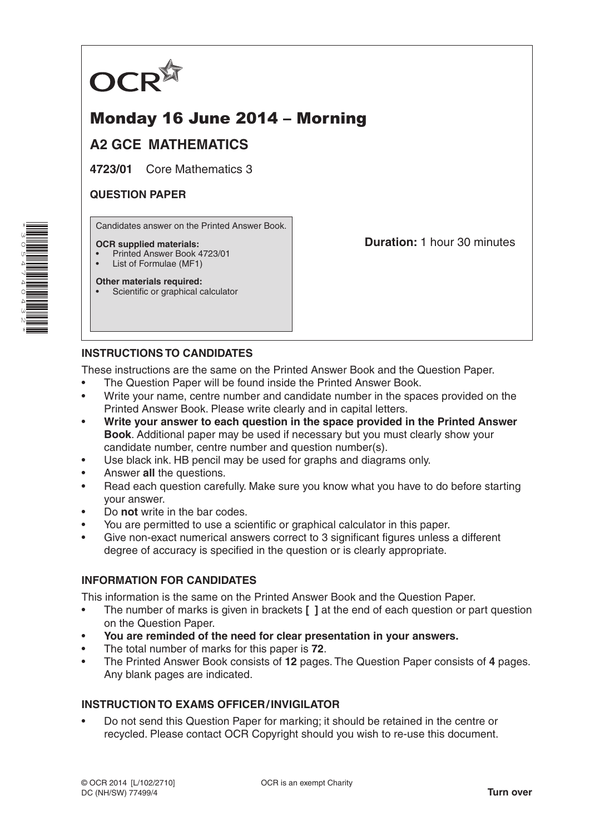

# Monday 16 June 2014 – Morning

# **A2 GCE MATHEMATICS**

**4723/01** Core Mathematics 3

### **QUESTION PAPER**

Candidates answer on the Printed Answer Book.

#### **OCR supplied materials:**

- Printed Answer Book 4723/01
- List of Formulae (MF1)

**Other materials required:** Scientific or graphical calculator **Duration:** 1 hour 30 minutes

## **INSTRUCTIONS TO CANDIDATES**

These instructions are the same on the Printed Answer Book and the Question Paper.

- The Question Paper will be found inside the Printed Answer Book.
- Write your name, centre number and candidate number in the spaces provided on the Printed Answer Book. Please write clearly and in capital letters.
- **Write your answer to each question in the space provided in the Printed Answer Book**. Additional paper may be used if necessary but you must clearly show your candidate number, centre number and question number(s).
- Use black ink. HB pencil may be used for graphs and diagrams only.
- Answer **all** the questions.
- Read each question carefully. Make sure you know what you have to do before starting your answer.
- Do **not** write in the bar codes.
- You are permitted to use a scientific or graphical calculator in this paper.
- Give non-exact numerical answers correct to 3 significant figures unless a different degree of accuracy is specified in the question or is clearly appropriate.

## **INFORMATION FOR CANDIDATES**

This information is the same on the Printed Answer Book and the Question Paper.

- The number of marks is given in brackets **[ ]** at the end of each question or part question on the Question Paper.
- **You are reminded of the need for clear presentation in your answers.**
- The total number of marks for this paper is **72**.
- The Printed Answer Book consists of **12** pages. The Question Paper consists of **4** pages. Any blank pages are indicated.

#### **INSTRUCTION TO EXAMS OFFICER/INVIGILATOR**

• Do not send this Question Paper for marking; it should be retained in the centre or recycled. Please contact OCR Copyright should you wish to re-use this document.

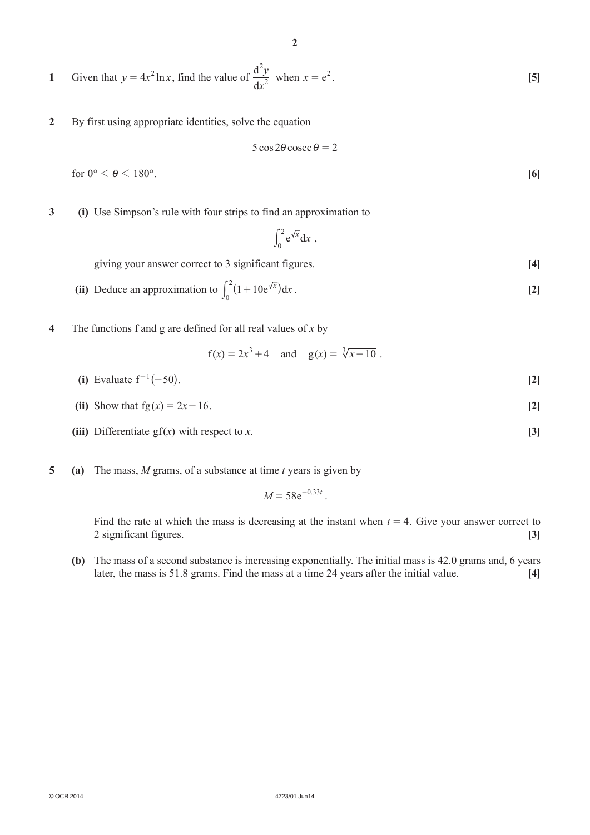1 Given that 
$$
y = 4x^2 \ln x
$$
, find the value of  $\frac{d^2y}{dx^2}$  when  $x = e^2$ . [5]

**2**  By first using appropriate identities, solve the equation

$$
5\cos 2\theta \csc \theta = 2
$$

 $\overline{0}$ 

for  $0^{\circ} < \theta < 180^{\circ}$ . [6]

**3** (i) Use Simpson's rule with four strips to find an approximation to

$$
\int_0^2 e^{\sqrt{x}} dx ,
$$

giving your answer correct to 3 significant figures. **[4]** 

- (ii) Deduce an approximation to  $\int_0^2 (1 + 10e^{\sqrt{x}}) dx$  $\int_0^2 (1 + 10e^{\sqrt{x}}) dx$ . [2]
- **4**  The functions f and g are defined for all real values of *x* by

$$
f(x) = 2x^3 + 4
$$
 and  $g(x) = \sqrt[3]{x - 10}$ .

- **(i)** Evaluate  $f^{-1}(-50)$ . [2]
- **(ii)** Show that  $fg(x) = 2x 16$ . [2]
- **(iii)** Differentiate gf( $x$ ) with respect to  $x$ . **[3]**
- **5 (a)**  The mass, *M* grams, of a substance at time *t* years is given by

$$
M = 58e^{-0.33t}.
$$

Find the rate at which the mass is decreasing at the instant when  $t = 4$ . Give your answer correct to 2 significant figures. **[3]**

**(b)** The mass of a second substance is increasing exponentially. The initial mass is 42.0 grams and, 6 years later, the mass is 51.8 grams. Find the mass at a time 24 years after the initial value. **[4]**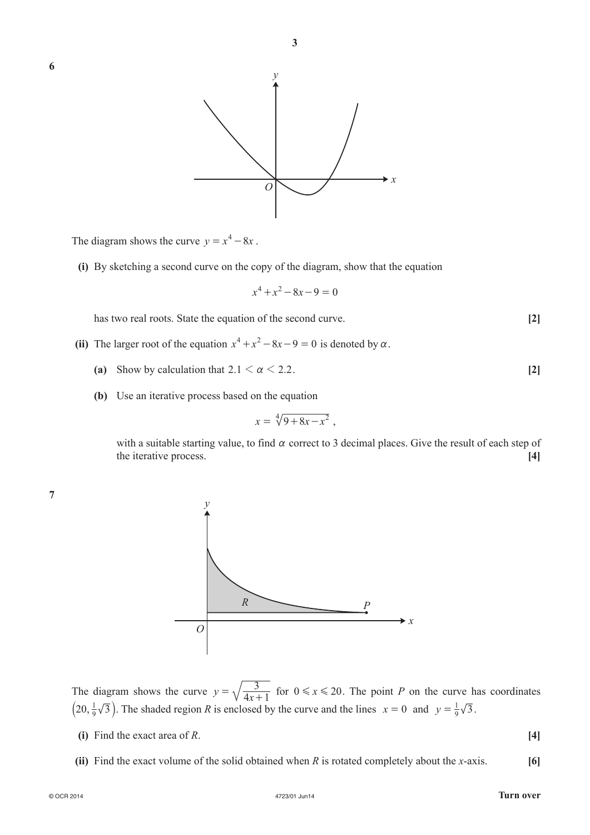

The diagram shows the curve  $y = x^4 - 8x$ .

**(i)** By sketching a second curve on the copy of the diagram, show that the equation

$$
x^4 + x^2 - 8x - 9 = 0
$$

has two real roots. State the equation of the second curve. **[2]** 

- **(ii)** The larger root of the equation  $x^4 + x^2 8x 9 = 0$  is denoted by  $\alpha$ .
	- **(a)** Show by calculation that  $2.1 < \alpha < 2.2$ . [2]
	- **(b)** Use an iterative process based on the equation

$$
x = \sqrt[4]{9+8x-x^2}
$$

with a suitable starting value, to find  $\alpha$  correct to 3 decimal places. Give the result of each step of the iterative process. **[4]**

**7**



The diagram shows the curve  $y = \sqrt{\frac{3}{4x+1}}$  for  $0 \le x \le 20$ . The point *P* on the curve has coordinates  $(20, \frac{1}{9}\sqrt{3})$ . The shaded region *R* is enclosed by the curve and the lines  $x = 0$  and  $y = \frac{1}{9}\sqrt{3}$ .

**(i)** Find the exact area of *R*.  $[4]$ 

**(ii)** Find the exact volume of the solid obtained when *R* is rotated completely about the *x*-axis. **[6]**